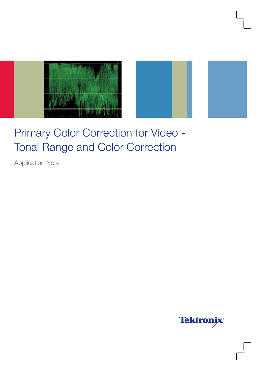



Application Note

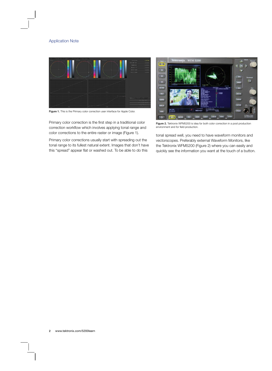

Figure 1. This is the Primary color correction user interface for Apple Color.

Primary color correction is the first step in a traditional color correction workflow which involves applying tonal range and color corrections to the entire raster or image (Figure 1).

Primary color corrections usually start with spreading out the tonal range to its fullest natural extent. Images that don't have this "spread" appear flat or washed out. To be able to do this



Figure 2. Tektronix WFM5200 is idea for both color correction in a post production environment and for field production.

tonal spread well, you need to have waveform monitors and vectorscopes. Preferably external Waveform Monitors, like the Tektronix WFM5200 (Figure 2) where you can easily and quickly see the information you want at the touch of a button.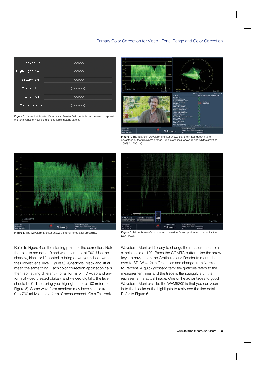

Figure 3. Master Lift, Master Gamma and Master Gain controls can be used to spread the tonal range of your picture to its fullest natural extent.



Figure 4. The Tektronix Waveform Monitor shows that the image doesn't take advantage of the full dynamic range. Blacks are lifted (above 0) and whites aren't at 100% (or 700 mv).



Refer to Figure 4 as the starting point for the correction. Note that blacks are not at 0 and whites are not at 700. Use the shadow, black or lift control to bring down your shadows to their lowest legal level (Figure 3). (Shadows, black and lift all mean the same thing. Each color correction application calls them something different.) For all forms of HD video and any form of video created digitally and viewed digitally, the level should be 0. Then bring your highlights up to 100 (refer to Figure 5). Some waveform monitors may have a scale from 0 to 700 millivolts as a form of measurement. On a Tektronix



Figure 5. The Waveform Monitor shows the tonal range after spreading. Figure 6. Tektronix waveform monitor zoomed to 5x and positioned to examine the black levels.

Waveform Monitor it's easy to change the measurement to a simple scale of 100. Press the CONFIG button. Use the arrow keys to navigate to the Graticules and Readouts menu, then over to SDI Waveform Graticules and change from Normal to Percent. A quick glossary item: the graticule refers to the measurement lines and the trace is the squiggly stuff that represents the actual image. One of the advantages to good Waveform Monitors, like the WFM5200 is that you can zoom in to the blacks or the highlights to really see the fine detail. Refer to Figure 6.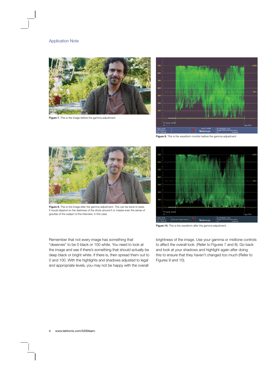

Figure 7. This is the image before the gamma adjustment.



Figure 8. This is the waveform monitor before the gamma adjustment.



Figure 9. This is the image after the gamma adjustment. This can be done to taste. It would depend on the darkness of the shots around it or maybe even the sense of gravitas of the subject of the interview, in this case.



Figure 10. This is the waveform after the gamma adjustment.

Remember that not every image has something that "deserves" to be 0 black or 100 white. You need to look at the image and see if there's something that should actually be deep black or bright white. If there is, then spread them out to 0 and 100. With the highlights and shadows adjusted to legal and appropriate levels, you may not be happy with the overall

brightness of the image. Use your gamma or midtone controls to affect the overall look. (Refer to Figures 7 and 8). Go back and look at your shadows and highlight again after doing this to ensure that they haven't changed too much (Refer to Figures 9 and 10).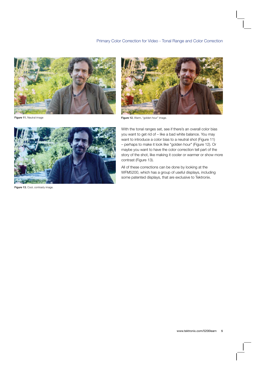





Figure 11. Neutral image **Figure 12.** Warm, "golden hour" image.



Figure 13. Cool, contrasty image.

With the tonal ranges set, see if there's an overall color bias you want to get rid of – like a bad white balance. You may want to introduce a color bias to a neutral shot (Figure 11) – perhaps to make it look like "golden hour" (Figure 12). Or maybe you want to have the color correction tell part of the story of the shot, like making it cooler or warmer or show more contrast (Figure 13).

All of these corrections can be done by looking at the WFM5200, which has a group of useful displays, including some patented displays, that are exclusive to Tektronix.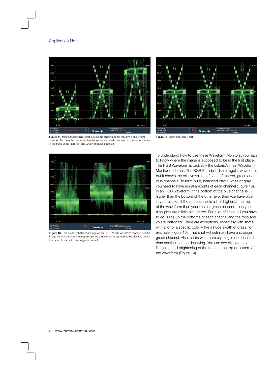



Figure 14. Misbalanced Chip Chart. Notice the clipping at the top of the blue (right) Figure 15. Balanced Chip Chart. channel. And how the blacks and midtones are elevated compared to the same shapes in the trace of the Red (left) and Green (middle) channels.



Figure 16. This is a fairly balanced image on an RGB Parade waveform monitor, but the image contains a lot of green grass, so the green channel appears to be elevated, but in the case of this particular image, is correct.

To understand how to use these Waveform Monitors, you have to know where the image is supposed to be in the first place. The RGB Waveform is probably the colorist's main Waveform Monitor of choice. The RGB Parade is like a regular waveform, but it shows the relative values of each of the red, green and blue channels. To form pure, balanced black, white or gray, you need to have equal amounts of each channel (Figure 15). In an RGB waveform, if the bottom of the blue channel is higher than the bottom of the other two, then you have blue in your blacks. If the red channel is a little higher at the top of the waveform than your blue or green channel, then your highlights are a little pink or red. For a lot of shots, all you have to do is line up the bottoms of each channel and the tops and you're balanced. There are exceptions, especially with shots with a lot of a specific color – like a huge swath of grass, for example (Figure 16). That shot will definitely have a stronger green channel. Also, shots with more clipping in one channel than another can be deceiving. You can see clipping as a flattening and brightening of the trace at the top or bottom of the waveform (Figure 14).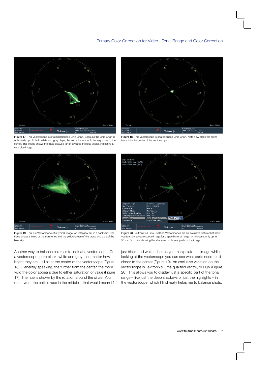

Figure 17. This Vectorscope is of a misbalanced Chip Chart. Because the Chip Chart is only made up of black, white and gray chips, the entire trace should be very close to the center. This image shows the trace skewed far off towards the blue vector, indicating a very blue image.



Figure 19. This is a Vectorscope of a typical image. An interview set in a backyard. The trace shows the red of the skin tones and the yellow/green of the grass and a bit of the blue sky.

Another way to balance colors is to look at a vectorscope. On a vectorscope, pure black, white and gray – no matter how bright they are – all sit at the center of the vectorscope (Figure 18). Generally speaking, the further from the center, the more vivid the color appears due to either saturation or value (Figure 17). The hue is shown by the rotation around the circle. You don't want the entire trace in the middle – that would mean it's



Figure 18. This Vectorscope is of a balanced Chip Chart. Note how close the entire trace is to the center of the vectorscope.



Figure 20. Tektronix's Luma Qualified Vectorscopes are an exclusive feature that allow you to show a vectorscope image for a specific tonal range. In this case, only up to 50 mv. So this is showing the shadows or darkest parts of the image.

just black and white – but as you manipulate the image while looking at the vectorscope you can see what parts need to sit closer to the center (Figure 19). An exclusive variation on the vectorscope is Tektronix's luma qualified vector, or LQV (Figure 20). This allows you to display just a specific part of the tonal range – like just the deep shadows or just the highlights – in the vectorscope, which I find really helps me to balance shots.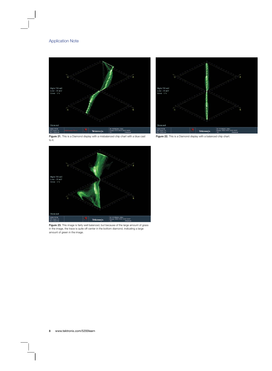



Figure 21. This is a Diamond display with a misbalanced chip chart with a blue cast Figure 22. This is a Diamond display with a balanced chip chart. to it.





Figure 23. This image is fairly well balanced, but because of the large amount of grass in the image, the trace is quite off-center in the bottom diamond, indicating a large amount of green in the image.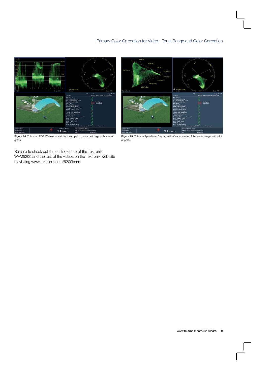



Figure 24. This is an RGB Waveform and Vectorscope of the same image with a lot of grass.

Be sure to check out the on-line demo of the Tektronix WFM5200 and the rest of the videos on the Tektronix web site

of grass.

by visiting www.tektronix.com/5200learn.